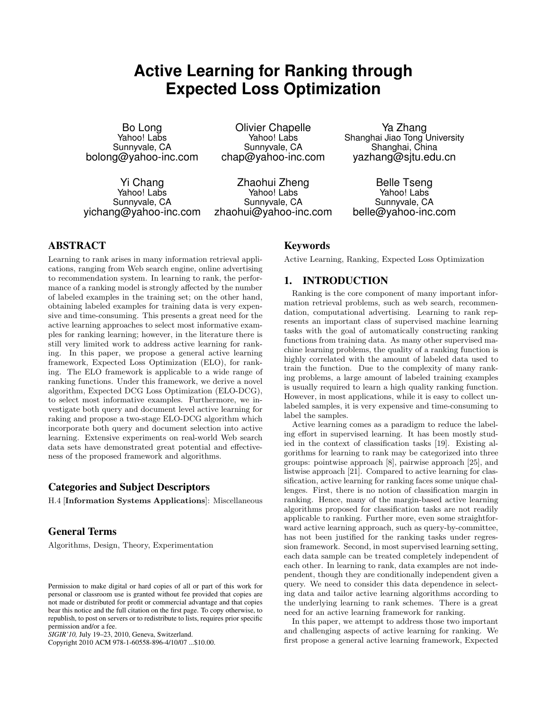# **Active Learning for Ranking through Expected Loss Optimization**

Bo Long Yahoo! Labs Sunnyvale, CA bolong@yahoo-inc.com

Olivier Chapelle Yahoo! Labs Sunnyvale, CA chap@yahoo-inc.com

Yi Chang Yahoo! Labs Sunnyvale, CA yichang@yahoo-inc.com

Zhaohui Zheng Yahoo! Labs Sunnyvale, CA zhaohui@yahoo-inc.com

Ya Zhang Shanghai Jiao Tong University Shanghai, China yazhang@sjtu.edu.cn

Belle Tseng Yahoo! Labs Sunnyvale, CA belle@yahoo-inc.com

# ABSTRACT

Learning to rank arises in many information retrieval applications, ranging from Web search engine, online advertising to recommendation system. In learning to rank, the performance of a ranking model is strongly affected by the number of labeled examples in the training set; on the other hand, obtaining labeled examples for training data is very expensive and time-consuming. This presents a great need for the active learning approaches to select most informative examples for ranking learning; however, in the literature there is still very limited work to address active learning for ranking. In this paper, we propose a general active learning framework, Expected Loss Optimization (ELO), for ranking. The ELO framework is applicable to a wide range of ranking functions. Under this framework, we derive a novel algorithm, Expected DCG Loss Optimization (ELO-DCG), to select most informative examples. Furthermore, we investigate both query and document level active learning for raking and propose a two-stage ELO-DCG algorithm which incorporate both query and document selection into active learning. Extensive experiments on real-world Web search data sets have demonstrated great potential and effectiveness of the proposed framework and algorithms.

# Categories and Subject Descriptors

H.4 [Information Systems Applications]: Miscellaneous

# General Terms

Algorithms, Design, Theory, Experimentation

Copyright 2010 ACM 978-1-60558-896-4/10/07 ...\$10.00.

## Keywords

Active Learning, Ranking, Expected Loss Optimization

# 1. INTRODUCTION

Ranking is the core component of many important information retrieval problems, such as web search, recommendation, computational advertising. Learning to rank represents an important class of supervised machine learning tasks with the goal of automatically constructing ranking functions from training data. As many other supervised machine learning problems, the quality of a ranking function is highly correlated with the amount of labeled data used to train the function. Due to the complexity of many ranking problems, a large amount of labeled training examples is usually required to learn a high quality ranking function. However, in most applications, while it is easy to collect unlabeled samples, it is very expensive and time-consuming to label the samples.

Active learning comes as a paradigm to reduce the labeling effort in supervised learning. It has been mostly studied in the context of classification tasks [19]. Existing algorithms for learning to rank may be categorized into three groups: pointwise approach [8], pairwise approach [25], and listwise approach [21]. Compared to active learning for classification, active learning for ranking faces some unique challenges. First, there is no notion of classification margin in ranking. Hence, many of the margin-based active learning algorithms proposed for classification tasks are not readily applicable to ranking. Further more, even some straightforward active learning approach, such as query-by-committee, has not been justified for the ranking tasks under regression framework. Second, in most supervised learning setting, each data sample can be treated completely independent of each other. In learning to rank, data examples are not independent, though they are conditionally independent given a query. We need to consider this data dependence in selecting data and tailor active learning algorithms according to the underlying learning to rank schemes. There is a great need for an active learning framework for ranking.

In this paper, we attempt to address those two important and challenging aspects of active learning for ranking. We first propose a general active learning framework, Expected

Permission to make digital or hard copies of all or part of this work for personal or classroom use is granted without fee provided that copies are not made or distributed for profit or commercial advantage and that copies bear this notice and the full citation on the first page. To copy otherwise, to republish, to post on servers or to redistribute to lists, requires prior specific permission and/or a fee.

*SIGIR'10,* July 19–23, 2010, Geneva, Switzerland.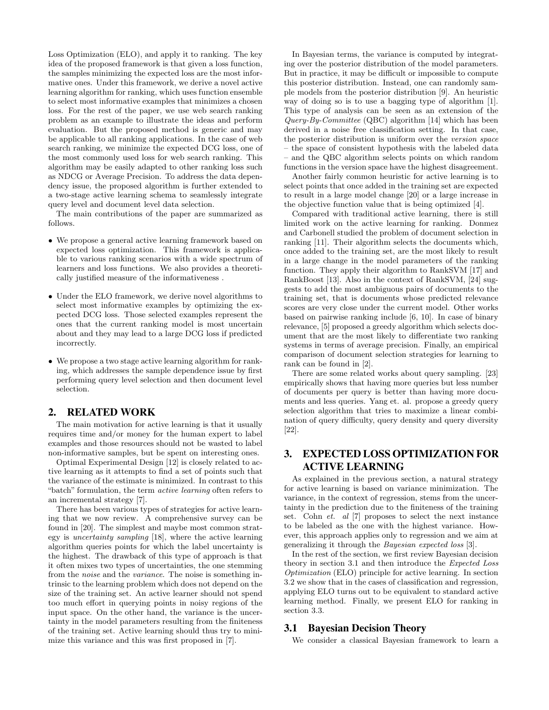Loss Optimization (ELO), and apply it to ranking. The key idea of the proposed framework is that given a loss function, the samples minimizing the expected loss are the most informative ones. Under this framework, we derive a novel active learning algorithm for ranking, which uses function ensemble to select most informative examples that minimizes a chosen loss. For the rest of the paper, we use web search ranking problem as an example to illustrate the ideas and perform evaluation. But the proposed method is generic and may be applicable to all ranking applications. In the case of web search ranking, we minimize the expected DCG loss, one of the most commonly used loss for web search ranking. This algorithm may be easily adapted to other ranking loss such as NDCG or Average Precision. To address the data dependency issue, the proposed algorithm is further extended to a two-stage active learning schema to seamlessly integrate query level and document level data selection.

The main contributions of the paper are summarized as follows.

- We propose a general active learning framework based on expected loss optimization. This framework is applicable to various ranking scenarios with a wide spectrum of learners and loss functions. We also provides a theoretically justified measure of the informativeness .
- Under the ELO framework, we derive novel algorithms to select most informative examples by optimizing the expected DCG loss. Those selected examples represent the ones that the current ranking model is most uncertain about and they may lead to a large DCG loss if predicted incorrectly.
- We propose a two stage active learning algorithm for ranking, which addresses the sample dependence issue by first performing query level selection and then document level selection.

# 2. RELATED WORK

The main motivation for active learning is that it usually requires time and/or money for the human expert to label examples and those resources should not be wasted to label non-informative samples, but be spent on interesting ones.

Optimal Experimental Design [12] is closely related to active learning as it attempts to find a set of points such that the variance of the estimate is minimized. In contrast to this "batch" formulation, the term active learning often refers to an incremental strategy [7].

There has been various types of strategies for active learning that we now review. A comprehensive survey can be found in [20]. The simplest and maybe most common strategy is uncertainty sampling [18], where the active learning algorithm queries points for which the label uncertainty is the highest. The drawback of this type of approach is that it often mixes two types of uncertainties, the one stemming from the noise and the variance. The noise is something intrinsic to the learning problem which does not depend on the size of the training set. An active learner should not spend too much effort in querying points in noisy regions of the input space. On the other hand, the variance is the uncertainty in the model parameters resulting from the finiteness of the training set. Active learning should thus try to minimize this variance and this was first proposed in [7].

In Bayesian terms, the variance is computed by integrating over the posterior distribution of the model parameters. But in practice, it may be difficult or impossible to compute this posterior distribution. Instead, one can randomly sample models from the posterior distribution [9]. An heuristic way of doing so is to use a bagging type of algorithm [1]. This type of analysis can be seen as an extension of the  $Query-By-Commitee$  (QBC) algorithm [14] which has been derived in a noise free classification setting. In that case, the posterior distribution is uniform over the version space – the space of consistent hypothesis with the labeled data – and the QBC algorithm selects points on which random functions in the version space have the highest disagreement.

Another fairly common heuristic for active learning is to select points that once added in the training set are expected to result in a large model change [20] or a large increase in the objective function value that is being optimized [4].

Compared with traditional active learning, there is still limited work on the active learning for ranking. Donmez and Carbonell studied the problem of document selection in ranking [11]. Their algorithm selects the documents which, once added to the training set, are the most likely to result in a large change in the model parameters of the ranking function. They apply their algorithm to RankSVM [17] and RankBoost [13]. Also in the context of RankSVM, [24] suggests to add the most ambiguous pairs of documents to the training set, that is documents whose predicted relevance scores are very close under the current model. Other works based on pairwise ranking include [6, 10]. In case of binary relevance, [5] proposed a greedy algorithm which selects document that are the most likely to differentiate two ranking systems in terms of average precision. Finally, an empirical comparison of document selection strategies for learning to rank can be found in [2].

There are some related works about query sampling. [23] empirically shows that having more queries but less number of documents per query is better than having more documents and less queries. Yang et. al. propose a greedy query selection algorithm that tries to maximize a linear combination of query difficulty, query density and query diversity [22].

# 3. EXPECTED LOSS OPTIMIZATION FOR ACTIVE LEARNING

As explained in the previous section, a natural strategy for active learning is based on variance minimization. The variance, in the context of regression, stems from the uncertainty in the prediction due to the finiteness of the training set. Cohn et. al [7] proposes to select the next instance to be labeled as the one with the highest variance. However, this approach applies only to regression and we aim at generalizing it through the Bayesian expected loss [3].

In the rest of the section, we first review Bayesian decision theory in section 3.1 and then introduce the Expected Loss Optimization (ELO) principle for active learning. In section 3.2 we show that in the cases of classification and regression, applying ELO turns out to be equivalent to standard active learning method. Finally, we present ELO for ranking in section 3.3.

#### 3.1 Bayesian Decision Theory

We consider a classical Bayesian framework to learn a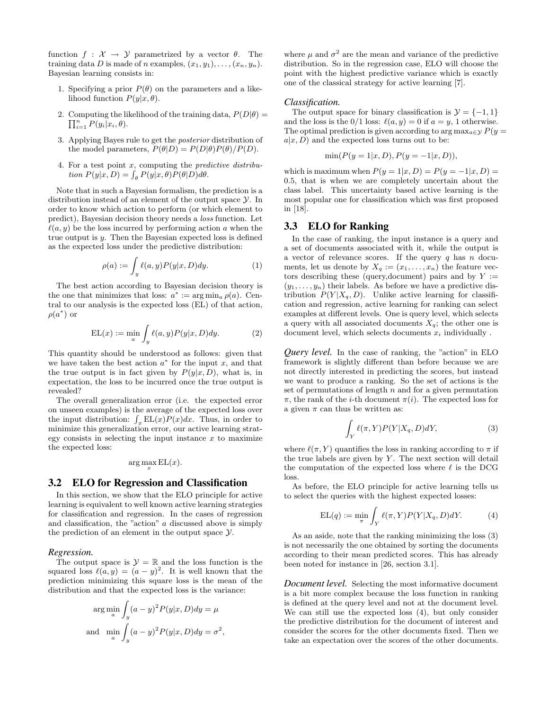function  $f : \mathcal{X} \to \mathcal{Y}$  parametrized by a vector  $\theta$ . The training data D is made of n examples,  $(x_1, y_1), \ldots, (x_n, y_n)$ . Bayesian learning consists in:

- 1. Specifying a prior  $P(\theta)$  on the parameters and a likelihood function  $P(y|x, \theta)$ .
- 2. Computing the likelihood of the training data,  $P(D|\theta) = \sum_{k=0}^{n} P(k)$  $\sum_{i=1}^n P(y_i|x_i, \theta).$
- 3. Applying Bayes rule to get the posterior distribution of the model parameters,  $P(\theta|D) = P(D|\theta)P(\theta)/P(D)$ .
- 4. For a test point x, computing the predictive distribu-For a test point x, computing the prection  $P(y|x, D) = \int_{\theta} P(y|x, \theta) P(\theta|D) d\theta$ .

Note that in such a Bayesian formalism, the prediction is a distribution instead of an element of the output space Y. In order to know which action to perform (or which element to predict), Bayesian decision theory needs a loss function. Let  $\ell(a, y)$  be the loss incurred by performing action a when the true output is  $y$ . Then the Bayesian expected loss is defined as the expected loss under the predictive distribution:

$$
\rho(a) := \int_{y} \ell(a, y) P(y|x, D) dy.
$$
 (1)

The best action according to Bayesian decision theory is the one that minimizes that loss:  $a^* := \arg \min_a \rho(a)$ . Central to our analysis is the expected loss (EL) of that action,  $\rho(a^*)$  or

$$
EL(x) := \min_{a} \int_{y} \ell(a, y) P(y|x, D) dy.
$$
 (2)

This quantity should be understood as follows: given that we have taken the best action  $a^*$  for the input x, and that the true output is in fact given by  $P(y|x, D)$ , what is, in expectation, the loss to be incurred once the true output is revealed?

The overall generalization error (i.e. the expected error on unseen examples) is the average of the expected loss over on unseen examples) is the average of the expected loss over<br>the input distribution:  $\int_x \mathrm{EL}(x)P(x)dx$ . Thus, in order to minimize this generalization error, our active learning strategy consists in selecting the input instance  $x$  to maximize the expected loss:

$$
\arg\max_x \mathbf{EL}(x).
$$

#### 3.2 ELO for Regression and Classification

In this section, we show that the ELO principle for active learning is equivalent to well known active learning strategies for classification and regression. In the cases of regression and classification, the "action" a discussed above is simply the prediction of an element in the output space  $\mathcal{Y}$ .

#### *Regression.*

The output space is  $\mathcal{Y} = \mathbb{R}$  and the loss function is the squared loss  $\ell(a, y) = (a - y)^2$ . It is well known that the prediction minimizing this square loss is the mean of the distribution and that the expected loss is the variance:

$$
\arg\min_{a} \int_{y} (a - y)^{2} P(y|x, D) dy = \mu
$$
  
and 
$$
\min_{a} \int_{y} (a - y)^{2} P(y|x, D) dy = \sigma^{2},
$$

where  $\mu$  and  $\sigma^2$  are the mean and variance of the predictive distribution. So in the regression case, ELO will choose the point with the highest predictive variance which is exactly one of the classical strategy for active learning [7].

#### *Classification.*

The output space for binary classification is  $\mathcal{Y} = \{-1, 1\}$ and the loss is the 0/1 loss:  $\ell(a, y) = 0$  if  $a = y$ , 1 otherwise. The optimal prediction is given according to  $\arg \max_{a \in \mathcal{Y}} P(y =$  $a|x, D)$  and the expected loss turns out to be:

$$
\min(P(y = 1|x, D), P(y = -1|x, D)),
$$

which is maximum when  $P(y = 1|x, D) = P(y = -1|x, D) =$ 0.5, that is when we are completely uncertain about the class label. This uncertainty based active learning is the most popular one for classification which was first proposed in [18].

#### 3.3 ELO for Ranking

In the case of ranking, the input instance is a query and a set of documents associated with it, while the output is a vector of relevance scores. If the query q has  $n$  documents, let us denote by  $X_q := (x_1, \ldots, x_n)$  the feature vectors describing these (query,document) pairs and by  $Y :=$  $(y_1, \ldots, y_n)$  their labels. As before we have a predictive distribution  $P(Y|X_q, D)$ . Unlike active learning for classification and regression, active learning for ranking can select examples at different levels. One is query level, which selects a query with all associated documents  $X_q$ ; the other one is document level, which selects documents  $x_i$  individually.

*Query level.* In the case of ranking, the "action" in ELO framework is slightly different than before because we are not directly interested in predicting the scores, but instead we want to produce a ranking. So the set of actions is the set of permutations of length  $n$  and for a given permutation  $\pi$ , the rank of the *i*-th document  $\pi(i)$ . The expected loss for a given  $\pi$  can thus be written as:

$$
\int_{Y} \ell(\pi, Y) P(Y|X_q, D) dY, \tag{3}
$$

where  $\ell(\pi, Y)$  quantifies the loss in ranking according to  $\pi$  if the true labels are given by  $Y$ . The next section will detail the computation of the expected loss where  $\ell$  is the DCG loss.

As before, the ELO principle for active learning tells us to select the queries with the highest expected losses:

$$
EL(q) := \min_{\pi} \int_{Y} \ell(\pi, Y) P(Y | X_q, D) dY.
$$
 (4)

As an aside, note that the ranking minimizing the loss (3) is not necessarily the one obtained by sorting the documents according to their mean predicted scores. This has already been noted for instance in [26, section 3.1].

*Document level.* Selecting the most informative document is a bit more complex because the loss function in ranking is defined at the query level and not at the document level. We can still use the expected loss (4), but only consider the predictive distribution for the document of interest and consider the scores for the other documents fixed. Then we take an expectation over the scores of the other documents.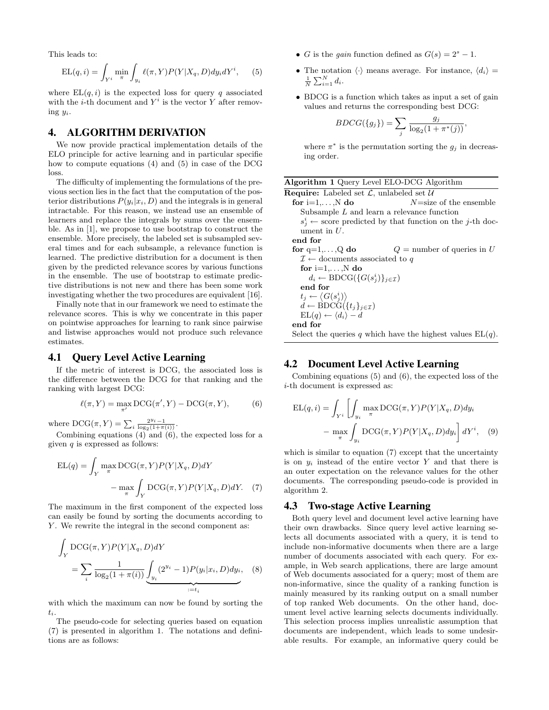This leads to:

$$
EL(q, i) = \int_{Y_i} \min_{\pi} \int_{y_i} \ell(\pi, Y) P(Y | X_q, D) dy_i dY^i, \quad (5)
$$

where  $EL(q, i)$  is the expected loss for query q associated with the *i*-th document and  $Y^i$  is the vector Y after removing yi.

# 4. ALGORITHM DERIVATION

We now provide practical implementation details of the ELO principle for active learning and in particular specifie how to compute equations (4) and (5) in case of the DCG loss.

The difficulty of implementing the formulations of the previous section lies in the fact that the computation of the posterior distributions  $P(y_i|x_i, D)$  and the integrals is in general intractable. For this reason, we instead use an ensemble of learners and replace the integrals by sums over the ensemble. As in [1], we propose to use bootstrap to construct the ensemble. More precisely, the labeled set is subsampled several times and for each subsample, a relevance function is learned. The predictive distribution for a document is then given by the predicted relevance scores by various functions in the ensemble. The use of bootstrap to estimate predictive distributions is not new and there has been some work investigating whether the two procedures are equivalent [16].

Finally note that in our framework we need to estimate the relevance scores. This is why we concentrate in this paper on pointwise approaches for learning to rank since pairwise and listwise approaches would not produce such relevance estimates.

#### 4.1 Query Level Active Learning

If the metric of interest is DCG, the associated loss is the difference between the DCG for that ranking and the ranking with largest DCG:

$$
\ell(\pi, Y) = \max_{\pi'} \text{DCG}(\pi', Y) - \text{DCG}(\pi, Y),\tag{6}
$$

where  $DCG(\pi, Y) = \sum_{i} \frac{2^{y_i} - 1}{\log_2(1 + \pi(i))}$ .

Combining equations (4) and (6), the expected loss for a given  $q$  is expressed as follows:

$$
EL(q) = \int_{Y} \max_{\pi} DCG(\pi, Y) P(Y|X_q, D)dY
$$

$$
- \max_{\pi} \int_{Y} DCG(\pi, Y) P(Y|X_q, D)dY. \quad (7)
$$

The maximum in the first component of the expected loss can easily be found by sorting the documents according to Y. We rewrite the integral in the second component as:

$$
\int_{Y} \text{DCG}(\pi, Y) P(Y|X_q, D) dY
$$
\n
$$
= \sum_{i} \frac{1}{\log_2(1 + \pi(i))} \underbrace{\int_{y_i} (2^{y_i} - 1) P(y_i|x_i, D) dy_i}_{:= t_i}, \quad (8)
$$

with which the maximum can now be found by sorting the  $t_i$ .

The pseudo-code for selecting queries based on equation (7) is presented in algorithm 1. The notations and definitions are as follows:

- G is the gain function defined as  $G(s) = 2<sup>s</sup> 1$ .
- The notation  $\langle \cdot \rangle$  means average. For instance,  $\langle d_i \rangle =$  $\frac{1}{N} \sum_{i=1}^{N} d_i$ .
- BDCG is a function which takes as input a set of gain values and returns the corresponding best DCG:

$$
BDCG({g_j}) = \sum_j \frac{g_j}{\log_2(1 + \pi^*(j))},
$$

where  $\pi^*$  is the permutation sorting the  $g_j$  in decreasing order.

| Algorithm 1 Query Level ELO-DCG Algorithm                               |                                                              |  |  |  |
|-------------------------------------------------------------------------|--------------------------------------------------------------|--|--|--|
| <b>Require:</b> Labeled set $\mathcal{L}$ , unlabeled set $\mathcal{U}$ |                                                              |  |  |  |
| for $i=1,\ldots,N$ do                                                   | $N$ =size of the ensemble                                    |  |  |  |
| Subsample $L$ and learn a relevance function                            |                                                              |  |  |  |
| $s_i^* \leftarrow$ score predicted by that function on the j-th doc-    |                                                              |  |  |  |
| ument in $U$ .                                                          |                                                              |  |  |  |
| end for                                                                 |                                                              |  |  |  |
| for $q=1,\ldots,Q$ do                                                   | $Q =$ number of queries in U                                 |  |  |  |
| $\mathcal{I} \leftarrow$ documents associated to q                      |                                                              |  |  |  |
| for $i=1,\ldots,N$ do                                                   |                                                              |  |  |  |
| $d_i \leftarrow \text{BDCG}(\{G(s_i)\}_{i \in \mathcal{I}})$            |                                                              |  |  |  |
| end for                                                                 |                                                              |  |  |  |
| $t_j \leftarrow \langle G(s_i^i) \rangle$                               |                                                              |  |  |  |
| $d \leftarrow BDCG({t_i}_{i \in \mathcal{I}})$                          |                                                              |  |  |  |
| $EL(q) \leftarrow \langle d_i \rangle - d$                              |                                                              |  |  |  |
| end for                                                                 |                                                              |  |  |  |
|                                                                         | Select the queries q which have the highest values $EL(q)$ . |  |  |  |
|                                                                         |                                                              |  |  |  |

#### 4.2 Document Level Active Learning

Combining equations (5) and (6), the expected loss of the i-th document is expressed as:

$$
EL(q, i) = \int_{Y^i} \left[ \int_{y_i} \max_{\pi} \text{DCG}(\pi, Y) P(Y | X_q, D) dy_i - \max_{\pi} \int_{y_i} \text{DCG}(\pi, Y) P(Y | X_q, D) dy_i \right] dY^i, \quad (9)
$$

which is similar to equation (7) except that the uncertainty is on  $y_i$  instead of the entire vector Y and that there is an outer expectation on the relevance values for the other documents. The corresponding pseudo-code is provided in algorithm 2.

#### 4.3 Two-stage Active Learning

Both query level and document level active learning have their own drawbacks. Since query level active learning selects all documents associated with a query, it is tend to include non-informative documents when there are a large number of documents associated with each query. For example, in Web search applications, there are large amount of Web documents associated for a query; most of them are non-informative, since the quality of a ranking function is mainly measured by its ranking output on a small number of top ranked Web documents. On the other hand, document level active learning selects documents individually. This selection process implies unrealistic assumption that documents are independent, which leads to some undesirable results. For example, an informative query could be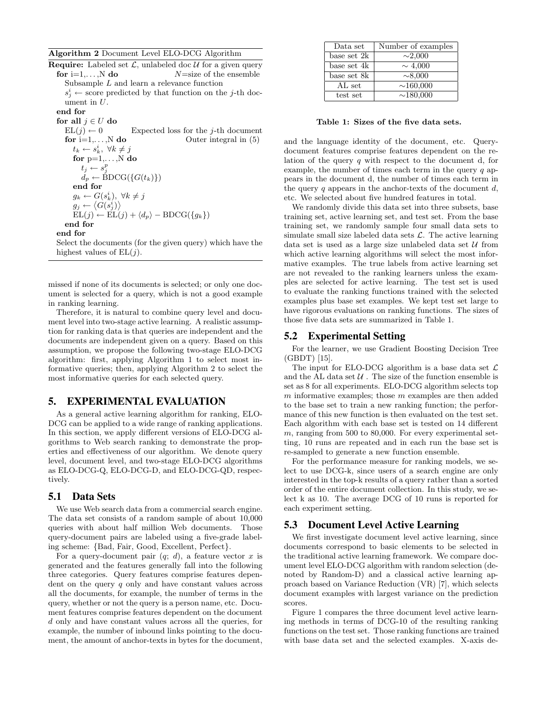missed if none of its documents is selected; or only one document is selected for a query, which is not a good example in ranking learning.

Therefore, it is natural to combine query level and document level into two-stage active learning. A realistic assumption for ranking data is that queries are independent and the documents are independent given on a query. Based on this assumption, we propose the following two-stage ELO-DCG algorithm: first, applying Algorithm 1 to select most informative queries; then, applying Algorithm 2 to select the most informative queries for each selected query.

## 5. EXPERIMENTAL EVALUATION

As a general active learning algorithm for ranking, ELO-DCG can be applied to a wide range of ranking applications. In this section, we apply different versions of ELO-DCG algorithms to Web search ranking to demonstrate the properties and effectiveness of our algorithm. We denote query level, document level, and two-stage ELO-DCG algorithms as ELO-DCG-Q, ELO-DCG-D, and ELO-DCG-QD, respectively.

#### 5.1 Data Sets

We use Web search data from a commercial search engine. The data set consists of a random sample of about 10,000 queries with about half million Web documents. Those query-document pairs are labeled using a five-grade labeling scheme: {Bad, Fair, Good, Excellent, Perfect}.

For a query-document pair  $(q; d)$ , a feature vector x is generated and the features generally fall into the following three categories. Query features comprise features dependent on the query  $q$  only and have constant values across all the documents, for example, the number of terms in the query, whether or not the query is a person name, etc. Document features comprise features dependent on the document d only and have constant values across all the queries, for example, the number of inbound links pointing to the document, the amount of anchor-texts in bytes for the document,

| Data set    | Number of examples |
|-------------|--------------------|
| base set 2k | $\sim$ 2,000       |
| base set 4k | $\sim 4,000$       |
| base set 8k | $\sim 8,000$       |
| AL set      | $\sim$ 160,000     |
| test set    | $\sim$ 180,000     |

Table 1: Sizes of the five data sets.

and the language identity of the document, etc. Querydocument features comprise features dependent on the relation of the query q with respect to the document d, for example, the number of times each term in the query  $q$  appears in the document d, the number of times each term in the query  $q$  appears in the anchor-texts of the document  $d$ , etc. We selected about five hundred features in total.

We randomly divide this data set into three subsets, base training set, active learning set, and test set. From the base training set, we randomly sample four small data sets to simulate small size labeled data sets  $\mathcal{L}$ . The active learning data set is used as a large size unlabeled data set  $\mathcal U$  from which active learning algorithms will select the most informative examples. The true labels from active learning set are not revealed to the ranking learners unless the examples are selected for active learning. The test set is used to evaluate the ranking functions trained with the selected examples plus base set examples. We kept test set large to have rigorous evaluations on ranking functions. The sizes of those five data sets are summarized in Table 1.

#### 5.2 Experimental Setting

For the learner, we use Gradient Boosting Decision Tree (GBDT) [15].

The input for ELO-DCG algorithm is a base data set  $\mathcal L$ and the AL data set  $U$ . The size of the function ensemble is set as 8 for all experiments. ELO-DCG algorithm selects top  $m$  informative examples; those  $m$  examples are then added to the base set to train a new ranking function; the performance of this new function is then evaluated on the test set. Each algorithm with each base set is tested on 14 different  $m$ , ranging from 500 to 80,000. For every experimental setting, 10 runs are repeated and in each run the base set is re-sampled to generate a new function ensemble.

For the performance measure for ranking models, we select to use DCG-k, since users of a search engine are only interested in the top-k results of a query rather than a sorted order of the entire document collection. In this study, we select k as 10. The average DCG of 10 runs is reported for each experiment setting.

# 5.3 Document Level Active Learning

We first investigate document level active learning, since documents correspond to basic elements to be selected in the traditional active learning framework. We compare document level ELO-DCG algorithm with random selection (denoted by Random-D) and a classical active learning approach based on Variance Reduction (VR) [7], which selects document examples with largest variance on the prediction scores.

Figure 1 compares the three document level active learning methods in terms of DCG-10 of the resulting ranking functions on the test set. Those ranking functions are trained with base data set and the selected examples. X-axis de-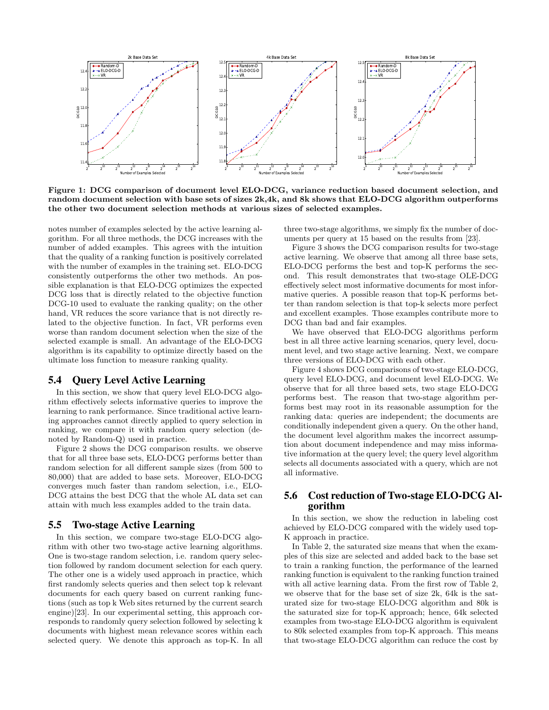

Figure 1: DCG comparison of document level ELO-DCG, variance reduction based document selection, and random document selection with base sets of sizes 2k,4k, and 8k shows that ELO-DCG algorithm outperforms the other two document selection methods at various sizes of selected examples.

notes number of examples selected by the active learning algorithm. For all three methods, the DCG increases with the number of added examples. This agrees with the intuition that the quality of a ranking function is positively correlated with the number of examples in the training set. ELO-DCG consistently outperforms the other two methods. An possible explanation is that ELO-DCG optimizes the expected DCG loss that is directly related to the objective function DCG-10 used to evaluate the ranking quality; on the other hand, VR reduces the score variance that is not directly related to the objective function. In fact, VR performs even worse than random document selection when the size of the selected example is small. An advantage of the ELO-DCG algorithm is its capability to optimize directly based on the ultimate loss function to measure ranking quality.

## 5.4 Query Level Active Learning

In this section, we show that query level ELO-DCG algorithm effectively selects informative queries to improve the learning to rank performance. Since traditional active learning approaches cannot directly applied to query selection in ranking, we compare it with random query selection (denoted by Random-Q) used in practice.

Figure 2 shows the DCG comparison results. we observe that for all three base sets, ELO-DCG performs better than random selection for all different sample sizes (from 500 to 80,000) that are added to base sets. Moreover, ELO-DCG converges much faster than random selection, i.e., ELO-DCG attains the best DCG that the whole AL data set can attain with much less examples added to the train data.

## 5.5 Two-stage Active Learning

In this section, we compare two-stage ELO-DCG algorithm with other two two-stage active learning algorithms. One is two-stage random selection, i.e. random query selection followed by random document selection for each query. The other one is a widely used approach in practice, which first randomly selects queries and then select top k relevant documents for each query based on current ranking functions (such as top k Web sites returned by the current search engine)[23]. In our experimental setting, this approach corresponds to randomly query selection followed by selecting k documents with highest mean relevance scores within each selected query. We denote this approach as top-K. In all three two-stage algorithms, we simply fix the number of documents per query at 15 based on the results from [23].

Figure 3 shows the DCG comparison results for two-stage active learning. We observe that among all three base sets, ELO-DCG performs the best and top-K performs the second. This result demonstrates that two-stage OLE-DCG effectively select most informative documents for most informative queries. A possible reason that top-K performs better than random selection is that top-k selects more perfect and excellent examples. Those examples contribute more to DCG than bad and fair examples.

We have observed that ELO-DCG algorithms perform best in all three active learning scenarios, query level, document level, and two stage active learning. Next, we compare three versions of ELO-DCG with each other.

Figure 4 shows DCG comparisons of two-stage ELO-DCG, query level ELO-DCG, and document level ELO-DCG. We observe that for all three based sets, two stage ELO-DCG performs best. The reason that two-stage algorithm performs best may root in its reasonable assumption for the ranking data: queries are independent; the documents are conditionally independent given a query. On the other hand, the document level algorithm makes the incorrect assumption about document independence and may miss informative information at the query level; the query level algorithm selects all documents associated with a query, which are not all informative.

## 5.6 Cost reduction of Two-stage ELO-DCG Algorithm

In this section, we show the reduction in labeling cost achieved by ELO-DCG compared with the widely used top-K approach in practice.

In Table 2, the saturated size means that when the examples of this size are selected and added back to the base set to train a ranking function, the performance of the learned ranking function is equivalent to the ranking function trained with all active learning data. From the first row of Table 2, we observe that for the base set of size 2k, 64k is the saturated size for two-stage ELO-DCG algorithm and 80k is the saturated size for top-K approach; hence, 64k selected examples from two-stage ELO-DCG algorithm is equivalent to 80k selected examples from top-K approach. This means that two-stage ELO-DCG algorithm can reduce the cost by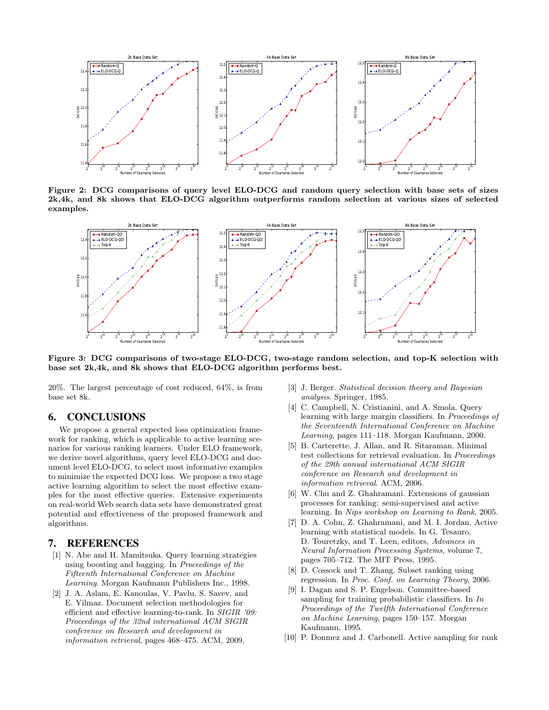

Figure 2: DCG comparisons of query level ELO-DCG and random query selection with base sets of sizes 2k,4k, and 8k shows that ELO-DCG algorithm outperforms random selection at various sizes of selected examples.



Figure 3: DCG comparisons of two-stage ELO-DCG, two-stage random selection, and top-K selection with base set 2k,4k, and 8k shows that ELO-DCG algorithm performs best.

20%. The largest percentage of cost reduced, 64%, is from base set 8k.

#### 6. CONCLUSIONS

We propose a general expected loss optimization framework for ranking, which is applicable to active learning scenarios for various ranking learners. Under ELO framework, we derive novel algorithms, query level ELO-DCG and document level ELO-DCG, to select most informative examples to minimize the expected DCG loss. We propose a two stage active learning algorithm to select the most effective examples for the most effective queries. Extensive experiments on real-world Web search data sets have demonstrated great potential and effectiveness of the proposed framework and algorithms.

# 7. REFERENCES

- [1] N. Abe and H. Mamitsuka. Query learning strategies using boosting and bagging. In Proceedings of the Fifteenth International Conference on Machine Learning. Morgan Kaufmann Publishers Inc., 1998.
- [2] J. A. Aslam, E. Kanoulas, V. Pavlu, S. Savev, and E. Yilmaz. Document selection methodologies for efficient and effective learning-to-rank. In SIGIR '09: Proceedings of the 32nd international ACM SIGIR conference on Research and development in information retrieval, pages 468–475. ACM, 2009.
- [3] J. Berger. Statistical decision theory and Bayesian analysis. Springer, 1985.
- [4] C. Campbell, N. Cristianini, and A. Smola. Query learning with large margin classifiers. In Proceedings of the Seventeenth International Conference on Machine Learning, pages 111–118. Morgan Kaufmann, 2000.
- [5] B. Carterette, J. Allan, and R. Sitaraman. Minimal test collections for retrieval evaluation. In Proceedings of the 29th annual international ACM SIGIR conference on Research and development in information retrieval. ACM, 2006.
- [6] W. Chu and Z. Ghahramani. Extensions of gaussian processes for ranking: semi-supervised and active learning. In Nips workshop on Learning to Rank, 2005.
- [7] D. A. Cohn, Z. Ghahramani, and M. I. Jordan. Active learning with statistical models. In G. Tesauro, D. Touretzky, and T. Leen, editors, Advances in Neural Information Processing Systems, volume 7, pages 705–712. The MIT Press, 1995.
- [8] D. Cossock and T. Zhang. Subset ranking using regression. In Proc. Conf. on Learning Theory, 2006.
- [9] I. Dagan and S. P. Engelson. Committee-based sampling for training probabilistic classifiers. In In Proceedings of the Twelfth International Conference on Machine Learning, pages 150–157. Morgan Kaufmann, 1995.
- [10] P. Donmez and J. Carbonell. Active sampling for rank